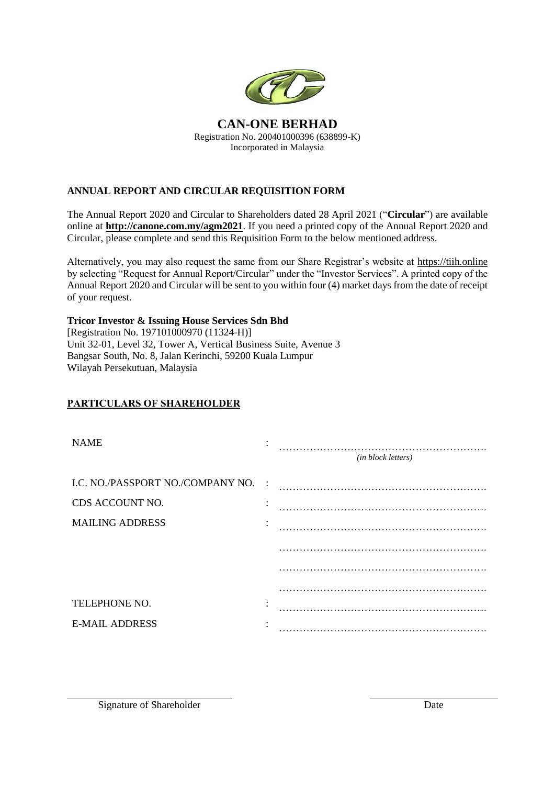

## **ANNUAL REPORT AND CIRCULAR REQUISITION FORM**

The Annual Report 2020 and Circular to Shareholders dated 28 April 2021 ("**Circular**") are available online at **http://canone.com.my/agm2021**. If you need a printed copy of the Annual Report 2020 and Circular, please complete and send this Requisition Form to the below mentioned address.

Alternatively, you may also request the same from our Share Registrar's website at https://tiih.online by selecting "Request for Annual Report/Circular" under the "Investor Services". A printed copy of the Annual Report 2020 and Circular will be sent to you within four (4) market days from the date of receipt of your request.

**Tricor Investor & Issuing House Services Sdn Bhd** 

[Registration No. 197101000970 (11324-H)] Unit 32-01, Level 32, Tower A, Vertical Business Suite, Avenue 3 Bangsar South, No. 8, Jalan Kerinchi, 59200 Kuala Lumpur Wilayah Persekutuan, Malaysia

## **PARTICULARS OF SHAREHOLDER**

| <b>NAME</b>                         |                           | (in block letters) |
|-------------------------------------|---------------------------|--------------------|
| I.C. NO./PASSPORT NO./COMPANY NO. : |                           |                    |
| CDS ACCOUNT NO.                     | ٠<br>$\ddot{\phantom{0}}$ |                    |
| <b>MAILING ADDRESS</b>              | ٠                         |                    |
|                                     |                           |                    |
|                                     |                           |                    |
|                                     |                           |                    |
| TELEPHONE NO.                       | ٠                         |                    |
| <b>E-MAIL ADDRESS</b>               | ٠                         |                    |